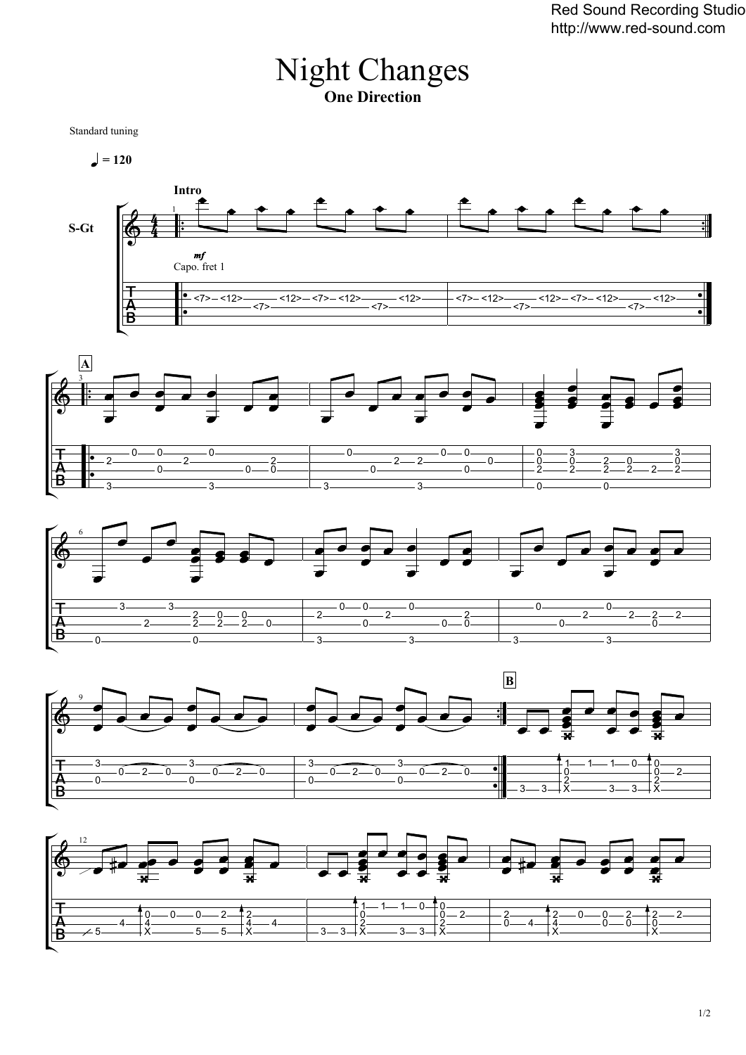## Night Changes **One Direction**

Standard tuning

 $= 120$